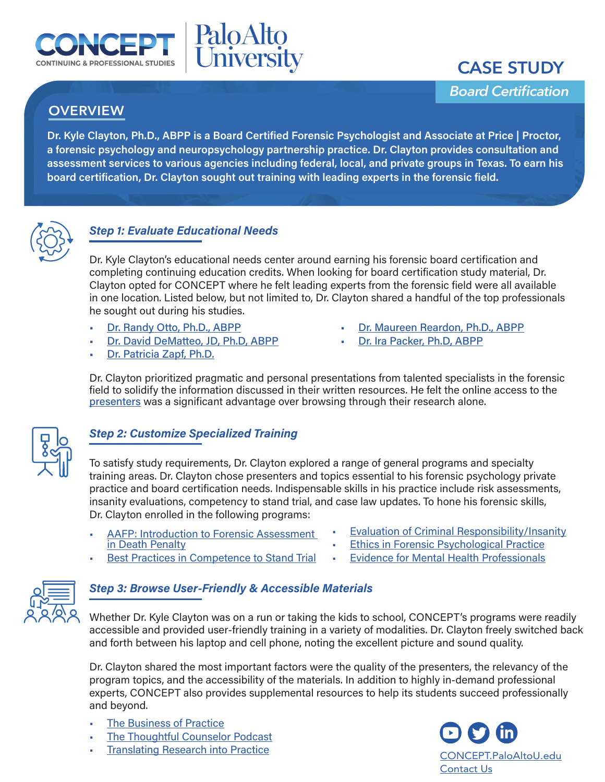



*Board Certification*

# **OVERVIEW**

**Dr. Kyle Clayton, Ph.D., ABPP is a Board Certified Forensic Psychologist and Associate at Price | Proctor, a forensic psychology and neuropsychology partnership practice. Dr. Clayton provides consultation and assessment services to various agencies including federal, local, and private groups in Texas. To earn his board certification, Dr. Clayton sought out training with leading experts in the forensic field.**

PaloAlto<br>University



## *Step 1: Evaluate Educational Needs*

Dr. Kyle Clayton's educational needs center around earning his forensic board certification and completing continuing education credits. When looking for board certification study material, Dr. Clayton opted for CONCEPT where he felt leading experts from the forensic field were all available in one location. Listed below, but not limited to, Dr. Clayton shared a handful of the top professionals he sought out during his studies.

- [Dr. Randy Otto, Ph.D., ABPP](https://concept.paloaltou.edu/our-presenters/Randy-K-Otto-PhD-ABPP?hsLang=en)
- [Dr. David DeMatteo, JD, Ph.D, ABPP](https://concept.paloaltou.edu/our-presenters/David-DeMatteo-JD-PhD-ABPP?hsLang=en)
- [Dr. Patricia Zapf, Ph.D.](https://concept.paloaltou.edu/our-presenters/Patricia-A-Zapf-PhD?hsLang=en)
- [Dr. Maureen Reardon, Ph.D., ABPP](https://concept.paloaltou.edu/our-presenters/Maureen-Reardon-PHD-ABPP?hsLang=en)
- [Dr. Ira Packer, Ph.D, ABPP](https://concept.paloaltou.edu/our-presenters/Ira-Packer-PhD?hsLang=en)

Dr. Clayton prioritized pragmatic and personal presentations from talented specialists in the forensic field to solidify the information discussed in their written resources. He felt the online access to the [presenters](https://concept.paloaltou.edu/our-presenters) was a significant advantage over browsing through their research alone.



# *Step 2: Customize Specialized Training*

To satisfy study requirements, Dr. Clayton explored a range of general programs and specialty training areas. Dr. Clayton chose presenters and topics essential to his forensic psychology private practice and board certification needs. Indispensable skills in his practice include risk assessments, insanity evaluations, competency to stand trial, and case law updates. To hone his forensic skills, Dr. Clayton enrolled in the following programs:

- [AAFP: Introduction to Forensic Assessment](https://concept.paloaltou.edu/course-2/Evaluation-of-Criminal-Responsibility-Insanity)  [in Death Penalty](https://concept.paloaltou.edu/course-2/Evaluation-of-Criminal-Responsibility-Insanity)
- **[Evaluation of Criminal Responsibility/Insanity](https://concept.paloaltou.edu/course/Evaluation-of-Criminal-Responsibility-Insanity)**

• [Evidence for Mental Health Professionals](https://concept.paloaltou.edu/course/AAFP-Evidence-for-Mental-Health-Professionals)

- **[Ethics in Forensic Psychological Practice](https://concept.paloaltou.edu/course/Ethics-in-Forensic-Psychological-Practice)**
- **[Best Practices in Competence to Stand Trial](https://concept.paloaltou.edu/course-2/Evaluation-of-Criminal-Responsibility-Insanity)**



## *Step 3: Browse User-Friendly & Accessible Materials*

Whether Dr. Kyle Clayton was on a run or taking the kids to school, CONCEPT's programs were readily accessible and provided user-friendly training in a variety of modalities. Dr. Clayton freely switched back and forth between his laptop and cell phone, noting the excellent picture and sound quality.

Dr. Clayton shared the most important factors were the quality of the presenters, the relevancy of the program topics, and the accessibility of the materials. In addition to highly in-demand professional experts, CONCEPT also provides supplemental resources to help its students succeed professionally and beyond.

- **[The Business of Practice](https://concept.paloaltou.edu/resources/business-of-practice-blog)**
- [The Thoughtful Counselor Podcast](https://concept.paloaltou.edu/resources/the-thoughtful-counselor-podcast)
- **[Translating Research into Practice](https://concept.paloaltou.edu/resources/translating-research-into-practice-blog)**